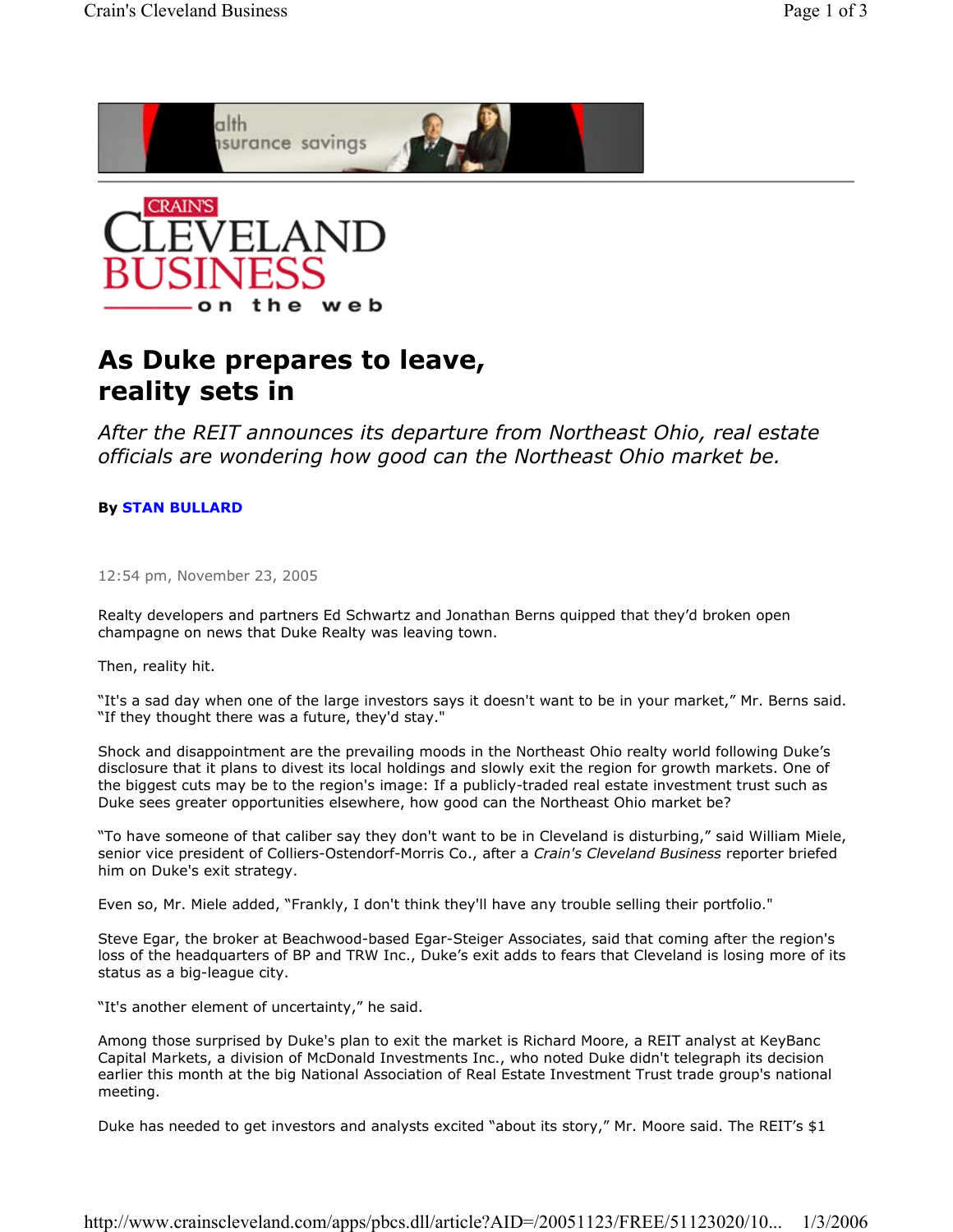



## **As Duke prepares to leave, reality sets in**

*After the REIT announces its departure from Northeast Ohio, real estate officials are wondering how good can the Northeast Ohio market be.*

## **By STAN BULLARD**

12:54 pm, November 23, 2005

Realty developers and partners Ed Schwartz and Jonathan Berns quipped that they'd broken open champagne on news that Duke Realty was leaving town.

Then, reality hit.

"It's a sad day when one of the large investors says it doesn't want to be in your market," Mr. Berns said. "If they thought there was a future, they'd stay."

Shock and disappointment are the prevailing moods in the Northeast Ohio realty world following Duke's disclosure that it plans to divest its local holdings and slowly exit the region for growth markets. One of the biggest cuts may be to the region's image: If a publicly-traded real estate investment trust such as Duke sees greater opportunities elsewhere, how good can the Northeast Ohio market be?

"To have someone of that caliber say they don't want to be in Cleveland is disturbing," said William Miele, senior vice president of Colliers-Ostendorf-Morris Co., after a *Crain's Cleveland Business* reporter briefed him on Duke's exit strategy.

Even so, Mr. Miele added, "Frankly, I don't think they'll have any trouble selling their portfolio."

Steve Egar, the broker at Beachwood-based Egar-Steiger Associates, said that coming after the region's loss of the headquarters of BP and TRW Inc., Duke's exit adds to fears that Cleveland is losing more of its status as a big-league city.

"It's another element of uncertainty," he said.

Among those surprised by Duke's plan to exit the market is Richard Moore, a REIT analyst at KeyBanc Capital Markets, a division of McDonald Investments Inc., who noted Duke didn't telegraph its decision earlier this month at the big National Association of Real Estate Investment Trust trade group's national meeting.

Duke has needed to get investors and analysts excited "about its story," Mr. Moore said. The REIT's \$1